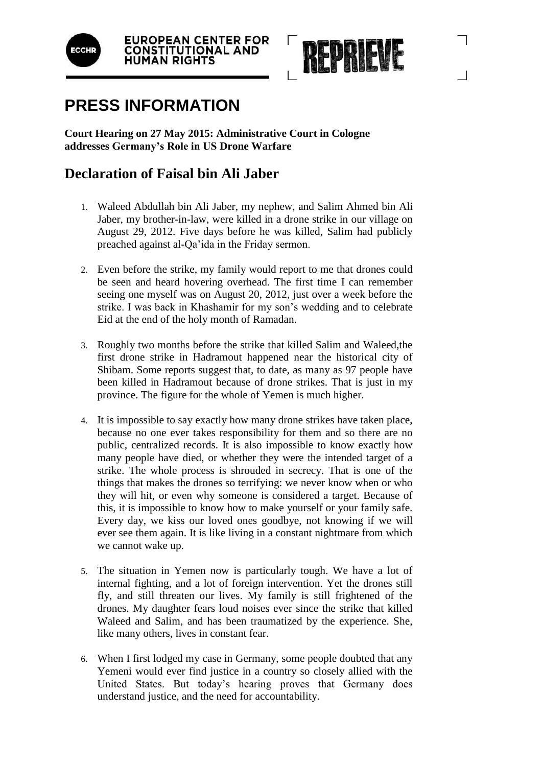



## **PRESS INFORMATION**

**Court Hearing on 27 May 2015: Administrative Court in Cologne addresses Germany's Role in US Drone Warfare**

## **Declaration of Faisal bin Ali Jaber**

- 1. Waleed Abdullah bin Ali Jaber, my nephew, and Salim Ahmed bin Ali Jaber, my brother-in-law, were killed in a drone strike in our village on August 29, 2012. Five days before he was killed, Salim had publicly preached against al-Qa'ida in the Friday sermon.
- 2. Even before the strike, my family would report to me that drones could be seen and heard hovering overhead. The first time I can remember seeing one myself was on August 20, 2012, just over a week before the strike. I was back in Khashamir for my son's wedding and to celebrate Eid at the end of the holy month of Ramadan.
- 3. Roughly two months before the strike that killed Salim and Waleed,the first drone strike in Hadramout happened near the historical city of Shibam. Some reports suggest that, to date, as many as 97 people have been killed in Hadramout because of drone strikes. That is just in my province. The figure for the whole of Yemen is much higher.
- 4. It is impossible to say exactly how many drone strikes have taken place, because no one ever takes responsibility for them and so there are no public, centralized records. It is also impossible to know exactly how many people have died, or whether they were the intended target of a strike. The whole process is shrouded in secrecy. That is one of the things that makes the drones so terrifying: we never know when or who they will hit, or even why someone is considered a target. Because of this, it is impossible to know how to make yourself or your family safe. Every day, we kiss our loved ones goodbye, not knowing if we will ever see them again. It is like living in a constant nightmare from which we cannot wake up.
- 5. The situation in Yemen now is particularly tough. We have a lot of internal fighting, and a lot of foreign intervention. Yet the drones still fly, and still threaten our lives. My family is still frightened of the drones. My daughter fears loud noises ever since the strike that killed Waleed and Salim, and has been traumatized by the experience. She, like many others, lives in constant fear.
- 6. When I first lodged my case in Germany, some people doubted that any Yemeni would ever find justice in a country so closely allied with the United States. But today's hearing proves that Germany does understand justice, and the need for accountability.